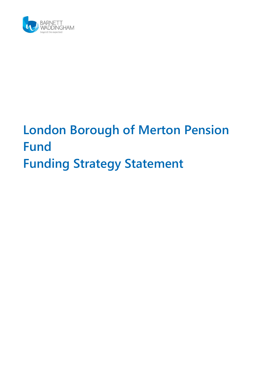

# **London Borough of Merton Pension Fund Funding Strategy Statement**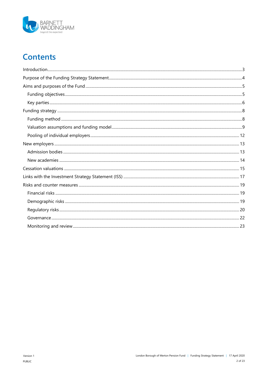

# **Contents**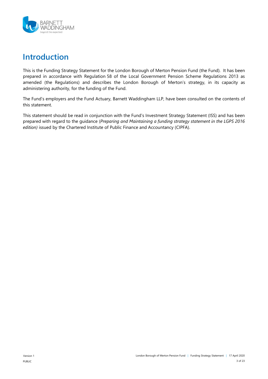

# <span id="page-2-0"></span>**Introduction**

This is the Funding Strategy Statement for the London Borough of Merton Pension Fund (the Fund). It has been prepared in accordance with Regulation 58 of the Local Government Pension Scheme Regulations 2013 as amended (the Regulations) and describes the London Borough of Merton's strategy, in its capacity as administering authority, for the funding of the Fund.

The Fund's employers and the Fund Actuary, Barnett Waddingham LLP, have been consulted on the contents of this statement.

This statement should be read in conjunction with the Fund's Investment Strategy Statement (ISS) and has been prepared with regard to the guidance (*Preparing and Maintaining a funding strategy statement in the LGPS 2016 edition)* issued by the Chartered Institute of Public Finance and Accountancy (CIPFA).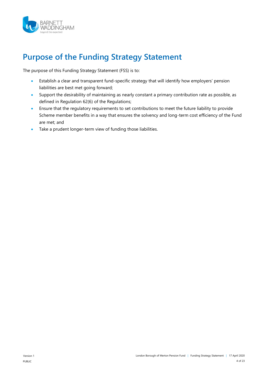

# <span id="page-3-0"></span>**Purpose of the Funding Strategy Statement**

The purpose of this Funding Strategy Statement (FSS) is to:

- Establish a clear and transparent fund-specific strategy that will identify how employers' pension liabilities are best met going forward;
- Support the desirability of maintaining as nearly constant a primary contribution rate as possible, as defined in Regulation 62(6) of the Regulations;
- Ensure that the regulatory requirements to set contributions to meet the future liability to provide Scheme member benefits in a way that ensures the solvency and long-term cost efficiency of the Fund are met; and
- Take a prudent longer-term view of funding those liabilities.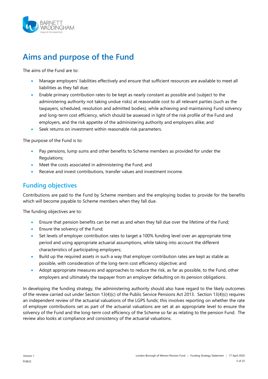

# <span id="page-4-0"></span>**Aims and purpose of the Fund**

The aims of the Fund are to:

- Manage employers' liabilities effectively and ensure that sufficient resources are available to meet all liabilities as they fall due;
- Enable primary contribution rates to be kept as nearly constant as possible and (subject to the administering authority not taking undue risks) at reasonable cost to all relevant parties (such as the taxpayers, scheduled, resolution and admitted bodies), while achieving and maintaining Fund solvency and long-term cost efficiency, which should be assessed in light of the risk profile of the Fund and employers, and the risk appetite of the administering authority and employers alike; and
- **Seek returns on investment within reasonable risk parameters.**

The purpose of the Fund is to:

- Pay pensions, lump sums and other benefits to Scheme members as provided for under the Regulations;
- Meet the costs associated in administering the Fund; and
- Receive and invest contributions, transfer values and investment income.

### <span id="page-4-1"></span>**Funding objectives**

Contributions are paid to the Fund by Scheme members and the employing bodies to provide for the benefits which will become payable to Scheme members when they fall due.

The funding objectives are to:

- Ensure that pension benefits can be met as and when they fall due over the lifetime of the Fund;
- Ensure the solvency of the Fund;
- Set levels of employer contribution rates to target a 100% funding level over an appropriate time period and using appropriate actuarial assumptions, while taking into account the different characteristics of participating employers;
- Build up the required assets in such a way that employer contribution rates are kept as stable as possible, with consideration of the long-term cost efficiency objective; and
- Adopt appropriate measures and approaches to reduce the risk, as far as possible, to the Fund, other employers and ultimately the taxpayer from an employer defaulting on its pension obligations.

In developing the funding strategy, the administering authority should also have regard to the likely outcomes of the review carried out under Section 13(4)(c) of the Public Service Pensions Act 2013. Section 13(4)(c) requires an independent review of the actuarial valuations of the LGPS funds; this involves reporting on whether the rate of employer contributions set as part of the actuarial valuations are set at an appropriate level to ensure the solvency of the Fund and the long-term cost efficiency of the Scheme so far as relating to the pension Fund. The review also looks at compliance and consistency of the actuarial valuations.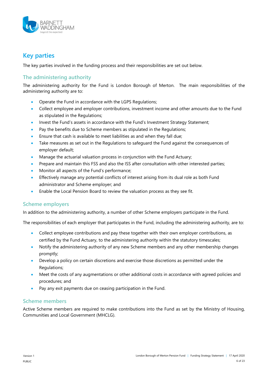

# <span id="page-5-0"></span>**Key parties**

The key parties involved in the funding process and their responsibilities are set out below.

#### **The administering authority**

The administering authority for the Fund is London Borough of Merton. The main responsibilities of the administering authority are to:

- Operate the Fund in accordance with the LGPS Regulations;
- Collect employee and employer contributions, investment income and other amounts due to the Fund as stipulated in the Regulations;
- Invest the Fund's assets in accordance with the Fund's Investment Strategy Statement;
- Pay the benefits due to Scheme members as stipulated in the Regulations;
- Ensure that cash is available to meet liabilities as and when they fall due;
- Take measures as set out in the Regulations to safeguard the Fund against the consequences of employer default;
- Manage the actuarial valuation process in conjunction with the Fund Actuary;
- Prepare and maintain this FSS and also the ISS after consultation with other interested parties;
- Monitor all aspects of the Fund's performance;
- Effectively manage any potential conflicts of interest arising from its dual role as both Fund administrator and Scheme employer; and
- Enable the Local Pension Board to review the valuation process as they see fit.

#### **Scheme employers**

In addition to the administering authority, a number of other Scheme employers participate in the Fund.

The responsibilities of each employer that participates in the Fund, including the administering authority, are to:

- Collect employee contributions and pay these together with their own employer contributions, as certified by the Fund Actuary, to the administering authority within the statutory timescales;
- Notify the administering authority of any new Scheme members and any other membership changes promptly;
- Develop a policy on certain discretions and exercise those discretions as permitted under the Regulations;
- Meet the costs of any augmentations or other additional costs in accordance with agreed policies and procedures; and
- Pay any exit payments due on ceasing participation in the Fund.

#### **Scheme members**

Active Scheme members are required to make contributions into the Fund as set by the Ministry of Housing, Communities and Local Government (MHCLG).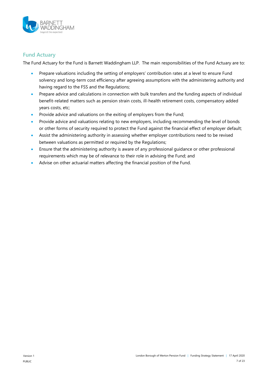

#### **Fund Actuary**

The Fund Actuary for the Fund is Barnett Waddingham LLP. The main responsibilities of the Fund Actuary are to:

- Prepare valuations including the setting of employers' contribution rates at a level to ensure Fund solvency and long-term cost efficiency after agreeing assumptions with the administering authority and having regard to the FSS and the Regulations;
- Prepare advice and calculations in connection with bulk transfers and the funding aspects of individual benefit-related matters such as pension strain costs, ill-health retirement costs, compensatory added years costs, etc;
- Provide advice and valuations on the exiting of employers from the Fund;
- Provide advice and valuations relating to new employers, including recommending the level of bonds or other forms of security required to protect the Fund against the financial effect of employer default;
- Assist the administering authority in assessing whether employer contributions need to be revised between valuations as permitted or required by the Regulations;
- Ensure that the administering authority is aware of any professional guidance or other professional requirements which may be of relevance to their role in advising the Fund; and
- Advise on other actuarial matters affecting the financial position of the Fund.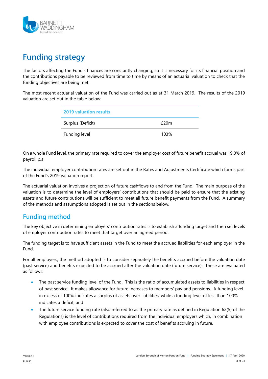

# <span id="page-7-0"></span>**Funding strategy**

The factors affecting the Fund's finances are constantly changing, so it is necessary for its financial position and the contributions payable to be reviewed from time to time by means of an actuarial valuation to check that the funding objectives are being met.

The most recent actuarial valuation of the Fund was carried out as at 31 March 2019. The results of the 2019 valuation are set out in the table below:

| <b>2019 valuation results</b> |      |
|-------------------------------|------|
| Surplus (Deficit)             | £20m |
| Funding level                 | 103% |

On a whole Fund level, the primary rate required to cover the employer cost of future benefit accrual was 19.0% of payroll p.a.

The individual employer contribution rates are set out in the Rates and Adjustments Certificate which forms part of the Fund's 2019 valuation report.

The actuarial valuation involves a projection of future cashflows to and from the Fund. The main purpose of the valuation is to determine the level of employers' contributions that should be paid to ensure that the existing assets and future contributions will be sufficient to meet all future benefit payments from the Fund. A summary of the methods and assumptions adopted is set out in the sections below.

# <span id="page-7-1"></span>**Funding method**

The key objective in determining employers' contribution rates is to establish a funding target and then set levels of employer contribution rates to meet that target over an agreed period.

The funding target is to have sufficient assets in the Fund to meet the accrued liabilities for each employer in the Fund.

For all employers, the method adopted is to consider separately the benefits accrued before the valuation date (past service) and benefits expected to be accrued after the valuation date (future service). These are evaluated as follows:

- The past service funding level of the Fund. This is the ratio of accumulated assets to liabilities in respect of past service. It makes allowance for future increases to members' pay and pensions. A funding level in excess of 100% indicates a surplus of assets over liabilities; while a funding level of less than 100% indicates a deficit; and
- The future service funding rate (also referred to as the primary rate as defined in Regulation 62(5) of the Regulations) is the level of contributions required from the individual employers which, in combination with employee contributions is expected to cover the cost of benefits accruing in future.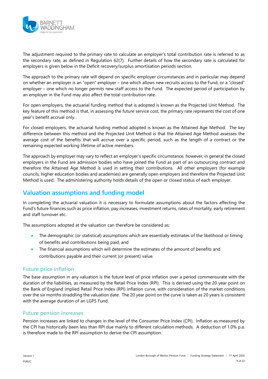

The adjustment required to the primary rate to calculate an employer's total contribution rate is referred to as the secondary rate, as defined in Regulation 62(7). Further details of how the secondary rate is calculated for employers is given below in the [Deficit recovery/surplus amortisation periods](#page-11-1) section.

The approach to the primary rate will depend on specific employer circumstances and in particular may depend on whether an employer is an "open" employer – one which allows new recruits access to the Fund, or a "closed" employer – one which no longer permits new staff access to the Fund. The expected period of participation by an employer in the Fund may also affect the total contribution rate.

For open employers, the actuarial funding method that is adopted is known as the Projected Unit Method. The key feature of this method is that, in assessing the future service cost, the primary rate represents the cost of one year's benefit accrual only.

For closed employers, the actuarial funding method adopted is known as the Attained Age Method. The key difference between this method and the Projected Unit Method is that the Attained Age Method assesses the average cost of the benefits that will accrue over a specific period, such as the length of a contract or the remaining expected working lifetime of active members.

The approach by employer may vary to reflect an employer's specific circumstance, however, in general the closed employers in the Fund are admission bodies who have joined the Fund as part of an outsourcing contract and therefore the Attained Age Method is used in setting their contributions. All other employers (for example councils, higher education bodies and academies) are generally open employers and therefore the Projected Unit Method is used. The administering authority holds details of the open or closed status of each employer.

# <span id="page-8-0"></span>**Valuation assumptions and funding model**

In completing the actuarial valuation it is necessary to formulate assumptions about the factors affecting the Fund's future finances such as price inflation, pay increases, investment returns, rates of mortality, early retirement and staff turnover etc.

The assumptions adopted at the valuation can therefore be considered as:

- The demographic (or statistical) assumptions which are essentially estimates of the likelihood or timing of benefits and contributions being paid, and
- The financial assumptions which will determine the estimates of the amount of benefits and contributions payable and their current (or present) value.

#### **Future price inflation**

The base assumption in any valuation is the future level of price inflation over a period commensurate with the duration of the liabilities, as measured by the Retail Price Index (RPI). This is derived using the 20 year point on the Bank of England implied Retail Price Index (RPI) inflation curve, with consideration of the market conditions over the six months straddling the valuation date. The 20 year point on the curve is taken as 20 years is consistent with the average duration of an LGPS Fund.

#### **Future pension increases**

Pension increases are linked to changes in the level of the Consumer Price Index (CPI). Inflation as measured by the CPI has historically been less than RPI due mainly to different calculation methods. A deduction of 1.0% p.a. is therefore made to the RPI assumption to derive the CPI assumption.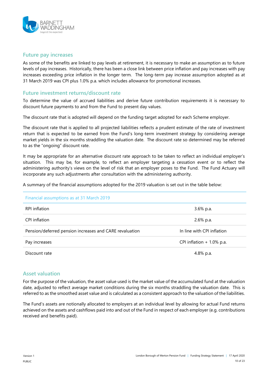

#### **Future pay increases**

As some of the benefits are linked to pay levels at retirement, it is necessary to make an assumption as to future levels of pay increases. Historically, there has been a close link between price inflation and pay increases with pay increases exceeding price inflation in the longer term. The long-term pay increase assumption adopted as at 31 March 2019 was CPI plus 1.0% p.a. which includes allowance for promotional increases.

#### **Future investment returns/discount rate**

To determine the value of accrued liabilities and derive future contribution requirements it is necessary to discount future payments to and from the Fund to present day values.

The discount rate that is adopted will depend on the funding target adopted for each Scheme employer.

The discount rate that is applied to all projected liabilities reflects a prudent estimate of the rate of investment return that is expected to be earned from the Fund's long-term investment strategy by considering average market yields in the six months straddling the valuation date. The discount rate so determined may be referred to as the "ongoing" discount rate.

It may be appropriate for an alternative discount rate approach to be taken to reflect an individual employer's situation. This may be, for example, to reflect an employer targeting a cessation event or to reflect the administering authority's views on the level of risk that an employer poses to the Fund. The Fund Actuary will incorporate any such adjustments after consultation with the administering authority.

A summary of the financial assumptions adopted for the 2019 valuation is set out in the table below:

| Financial assumptions as at 31 March 2019               |                             |
|---------------------------------------------------------|-----------------------------|
| RPI inflation                                           | $3.6\%$ p.a.                |
| CPI inflation                                           | 2.6% p.a.                   |
| Pension/deferred pension increases and CARE revaluation | In line with CPI inflation  |
| Pay increases                                           | CPI inflation $+1.0\%$ p.a. |
| Discount rate                                           | 4.8% p.a.                   |

#### **Asset valuation**

For the purpose of the valuation, the asset value used is the market value of the accumulated fund at the valuation date, adjusted to reflect average market conditions during the six months straddling the valuation date. This is referred to as the smoothed asset value and is calculated as a consistent approach to the valuation of the liabilities.

The Fund's assets are notionally allocated to employers at an individual level by allowing for actual Fund returns achieved on the assets and cashflows paid into and out of the Fund in respect of each employer (e.g. contributions received and benefits paid).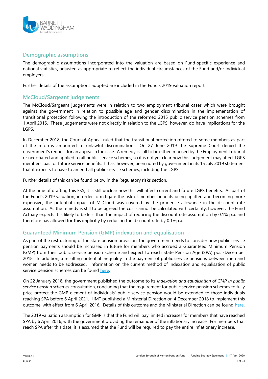

#### **Demographic assumptions**

The demographic assumptions incorporated into the valuation are based on Fund-specific experience and national statistics, adjusted as appropriate to reflect the individual circumstances of the Fund and/or individual employers.

Further details of the assumptions adopted are included in the Fund's 2019 valuation report.

#### **McCloud/Sargeant judgements**

The McCloud/Sargeant judgements were in relation to two employment tribunal cases which were brought against the government in relation to possible age and gender discrimination in the implementation of transitional protection following the introduction of the reformed 2015 public service pension schemes from 1 April 2015. These judgements were not directly in relation to the LGPS, however, do have implications for the LGPS.

In December 2018, the Court of Appeal ruled that the transitional protection offered to some members as part of the reforms amounted to unlawful discrimination. On 27 June 2019 the Supreme Court denied the government's request for an appeal in the case. A remedy is still to be either imposed by the Employment Tribunal or negotiated and applied to all public service schemes, so it is not yet clear how this judgement may affect LGPS members' past or future service benefits. It has, however, been noted by government in its 15 July 2019 statement that it expects to have to amend all public service schemes, including the LGPS.

Further details of this can be found below in the [Regulatory risks](#page-19-1) section.

At the time of drafting this FSS, it is still unclear how this will affect current and future LGPS benefits. As part of the Fund's 2019 valuation, in order to mitigate the risk of member benefits being uplifted and becoming more expensive, the potential impact of McCloud was covered by the prudence allowance in the discount rate assumption. As the remedy is still to be agreed the cost cannot be calculated with certainty, however, the Fund Actuary expects it is likely to be less than the impact of reducing the discount rate assumption by 0.1% p.a. and therefore has allowed for this implicitly by reducing the discount rate by 0.1%p.a.

#### **Guaranteed Minimum Pension (GMP) indexation and equalisation**

As part of the restructuring of the state pension provision, the government needs to consider how public service pension payments should be increased in future for members who accrued a Guaranteed Minimum Pension (GMP) from their public service pension scheme and expect to reach State Pension Age (SPA) post-December 2018. In addition, a resulting potential inequality in the payment of public service pensions between men and women needs to be addressed. Information on the current method of indexation and equalisation of public service pension schemes can be found [here.](https://www.gov.uk/government/consultations/indexation-and-equalisation-of-gmp-in-public-service-pension-schemes/consultation-on-indexation-and-equalisation-of-gmp-in-public-service-pension-schemes)

On 22 January 2018, the government published the outcome to its *Indexation and equalisation of GMP in public service pension schemes* consultation, concluding that the requirement for public service pension schemes to fully price protect the GMP element of individuals' public service pension would be extended to those individuals reaching SPA before 6 April 2021. HMT published a Ministerial Direction on 4 December 2018 to implement this outcome, with effect from 6 April 2016. Details of this outcome and the Ministerial Direction can be found [here.](https://www.gov.uk/government/publications/indexation-of-public-service-pensions)

The 2019 valuation assumption for GMP is that the Fund will pay limited increases for members that have reached SPA by 6 April 2016, with the government providing the remainder of the inflationary increase. For members that reach SPA after this date, it is assumed that the Fund will be required to pay the entire inflationary increase.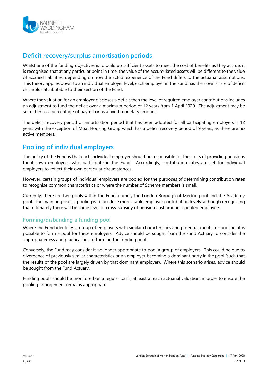

# <span id="page-11-1"></span>**Deficit recovery/surplus amortisation periods**

Whilst one of the funding objectives is to build up sufficient assets to meet the cost of benefits as they accrue, it is recognised that at any particular point in time, the value of the accumulated assets will be different to the value of accrued liabilities, depending on how the actual experience of the Fund differs to the actuarial assumptions. This theory applies down to an individual employer level; each employer in the Fund has their own share of deficit or surplus attributable to their section of the Fund.

Where the valuation for an employer discloses a deficit then the level of required employer contributions includes an adjustment to fund the deficit over a maximum period of 12 years from 1 April 2020. The adjustment may be set either as a percentage of payroll or as a fixed monetary amount.

The deficit recovery period or amortisation period that has been adopted for all participating employers is 12 years with the exception of Moat Housing Group which has a deficit recovery period of 9 years, as there are no active members.

### <span id="page-11-0"></span>**Pooling of individual employers**

The policy of the Fund is that each individual employer should be responsible for the costs of providing pensions for its own employees who participate in the Fund. Accordingly, contribution rates are set for individual employers to reflect their own particular circumstances.

However, certain groups of individual employers are pooled for the purposes of determining contribution rates to recognise common characteristics or where the number of Scheme members is small.

Currently, there are two pools within the Fund, namely the London Borough of Merton pool and the Academy pool. The main purpose of pooling is to produce more stable employer contribution levels, although recognising that ultimately there will be some level of cross-subsidy of pension cost amongst pooled employers.

#### **Forming/disbanding a funding pool**

Where the Fund identifies a group of employers with similar characteristics and potential merits for pooling, it is possible to form a pool for these employers. Advice should be sought from the Fund Actuary to consider the appropriateness and practicalities of forming the funding pool.

Conversely, the Fund may consider it no longer appropriate to pool a group of employers. This could be due to divergence of previously similar characteristics or an employer becoming a dominant party in the pool (such that the results of the pool are largely driven by that dominant employer). Where this scenario arises, advice should be sought from the Fund Actuary.

Funding pools should be monitored on a regular basis, at least at each actuarial valuation, in order to ensure the pooling arrangement remains appropriate.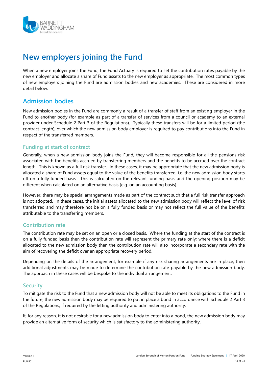

# <span id="page-12-0"></span>**New employers joining the Fund**

When a new employer joins the Fund, the Fund Actuary is required to set the contribution rates payable by the new employer and allocate a share of Fund assets to the new employer as appropriate. The most common types of new employers joining the Fund are admission bodies and new academies. These are considered in more detail below.

### <span id="page-12-1"></span>**Admission bodies**

New admission bodies in the Fund are commonly a result of a transfer of staff from an existing employer in the Fund to another body (for example as part of a transfer of services from a council or academy to an external provider under Schedule 2 Part 3 of the Regulations). Typically these transfers will be for a limited period (the contract length), over which the new admission body employer is required to pay contributions into the Fund in respect of the transferred members.

#### **Funding at start of contract**

Generally, when a new admission body joins the Fund, they will become responsible for all the pensions risk associated with the benefits accrued by transferring members and the benefits to be accrued over the contract length. This is known as a full risk transfer. In these cases, it may be appropriate that the new admission body is allocated a share of Fund assets equal to the value of the benefits transferred, i.e. the new admission body starts off on a fully funded basis. This is calculated on the relevant funding basis and the opening position may be different when calculated on an alternative basis (e.g. on an accounting basis).

However, there may be special arrangements made as part of the contract such that a full risk transfer approach is not adopted. In these cases, the initial assets allocated to the new admission body will reflect the level of risk transferred and may therefore not be on a fully funded basis or may not reflect the full value of the benefits attributable to the transferring members.

#### **Contribution rate**

The contribution rate may be set on an open or a closed basis. Where the funding at the start of the contract is on a fully funded basis then the contribution rate will represent the primary rate only; where there is a deficit allocated to the new admission body then the contribution rate will also incorporate a secondary rate with the aim of recovering the deficit over an appropriate recovery period.

Depending on the details of the arrangement, for example if any risk sharing arrangements are in place, then additional adjustments may be made to determine the contribution rate payable by the new admission body. The approach in these cases will be bespoke to the individual arrangement.

#### **Security**

To mitigate the risk to the Fund that a new admission body will not be able to meet its obligations to the Fund in the future, the new admission body may be required to put in place a bond in accordance with Schedule 2 Part 3 of the Regulations, if required by the letting authority and administering authority.

If, for any reason, it is not desirable for a new admission body to enter into a bond, the new admission body may provide an alternative form of security which is satisfactory to the administering authority.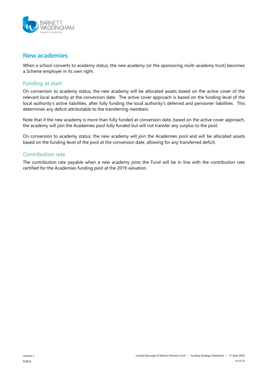

### <span id="page-13-0"></span>**New academies**

When a school converts to academy status, the new academy (or the sponsoring multi-academy trust) becomes a Scheme employer in its own right.

#### **Funding at start**

On conversion to academy status, the new academy will be allocated assets based on the active cover of the relevant local authority at the conversion date. The active cover approach is based on the funding level of the local authority's active liabilities, after fully funding the local authority's deferred and pensioner liabilities. This determines any deficit attributable to the transferring members.

Note that if the new academy is more than fully funded at conversion date, based on the active cover approach, the academy will join the Academies pool fully funded but will not transfer any surplus to the pool.

On conversion to academy status, the new academy will join the Academies pool and will be allocated assets based on the funding level of the pool at the conversion date, allowing for any transferred deficit.

#### **Contribution rate**

The contribution rate payable when a new academy joins the Fund will be in line with the contribution rate certified for the Academies funding pool at the 2019 valuation.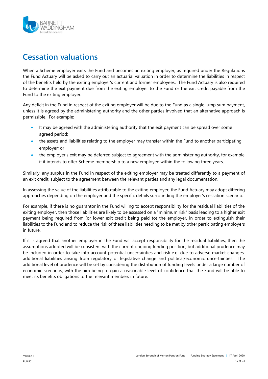

# <span id="page-14-0"></span>**Cessation valuations**

When a Scheme employer exits the Fund and becomes an exiting employer, as required under the Regulations the Fund Actuary will be asked to carry out an actuarial valuation in order to determine the liabilities in respect of the benefits held by the exiting employer's current and former employees. The Fund Actuary is also required to determine the exit payment due from the exiting employer to the Fund or the exit credit payable from the Fund to the exiting employer.

Any deficit in the Fund in respect of the exiting employer will be due to the Fund as a single lump sum payment, unless it is agreed by the administering authority and the other parties involved that an alternative approach is permissible. For example:

- It may be agreed with the administering authority that the exit payment can be spread over some agreed period;
- the assets and liabilities relating to the employer may transfer within the Fund to another participating employer; or
- the employer's exit may be deferred subject to agreement with the administering authority, for example if it intends to offer Scheme membership to a new employee within the following three years.

Similarly, any surplus in the Fund in respect of the exiting employer may be treated differently to a payment of an exit credit, subject to the agreement between the relevant parties and any legal documentation.

In assessing the value of the liabilities attributable to the exiting employer, the Fund Actuary may adopt differing approaches depending on the employer and the specific details surrounding the employer's cessation scenario.

For example, if there is no guarantor in the Fund willing to accept responsibility for the residual liabilities of the exiting employer, then those liabilities are likely to be assessed on a "minimum risk" basis leading to a higher exit payment being required from (or lower exit credit being paid to) the employer, in order to extinguish their liabilities to the Fund and to reduce the risk of these liabilities needing to be met by other participating employers in future.

If it is agreed that another employer in the Fund will accept responsibility for the residual liabilities, then the assumptions adopted will be consistent with the current ongoing funding position, but additional prudence may be included in order to take into account potential uncertainties and risk e.g. due to adverse market changes, additional liabilities arising from regulatory or legislative change and political/economic uncertainties. The additional level of prudence will be set by considering the distribution of funding levels under a large number of economic scenarios, with the aim being to gain a reasonable level of confidence that the Fund will be able to meet its benefits obligations to the relevant members in future.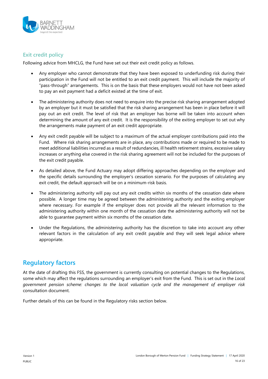

#### **Exit credit policy**

Following advice from MHCLG, the Fund have set out their exit credit policy as follows.

- Any employer who cannot demonstrate that they have been exposed to underfunding risk during their participation in the Fund will not be entitled to an exit credit payment. This will include the majority of "pass-through" arrangements. This is on the basis that these employers would not have not been asked to pay an exit payment had a deficit existed at the time of exit.
- The administering authority does not need to enquire into the precise risk sharing arrangement adopted by an employer but it must be satisfied that the risk sharing arrangement has been in place before it will pay out an exit credit. The level of risk that an employer has borne will be taken into account when determining the amount of any exit credit. It is the responsibility of the exiting employer to set out why the arrangements make payment of an exit credit appropriate.
- Any exit credit payable will be subject to a maximum of the actual employer contributions paid into the Fund. Where risk sharing arrangements are in place, any contributions made or required to be made to meet additional liabilities incurred as a result of redundancies, ill health retirement strains, excessive salary increases or anything else covered in the risk sharing agreement will not be included for the purposes of the exit credit payable.
- As detailed above, the Fund Actuary may adopt differing approaches depending on the employer and the specific details surrounding the employer's cessation scenario. For the purposes of calculating any exit credit, the default approach will be on a minimum-risk basis.
- The administering authority will pay out any exit credits within six months of the cessation date where possible. A longer time may be agreed between the administering authority and the exiting employer where necessary. For example if the employer does not provide all the relevant information to the administering authority within one month of the cessation date the administering authority will not be able to guarantee payment within six months of the cessation date.
- Under the Regulations, the administering authority has the discretion to take into account any other relevant factors in the calculation of any exit credit payable and they will seek legal advice where appropriate.

# **Regulatory factors**

At the date of drafting this FSS, the government is currently consulting on potential changes to the Regulations, some which may affect the regulations surrounding an employer's exit from the Fund. This is set out in the *Local government pension scheme: changes to the local valuation cycle and the management of employer risk* consultation document.

Further details of this can be found in the [Regulatory risks](#page-19-1) section below.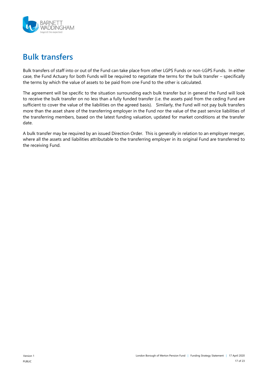

# <span id="page-16-0"></span>**Bulk transfers**

Bulk transfers of staff into or out of the Fund can take place from other LGPS Funds or non-LGPS Funds. In either case, the Fund Actuary for both Funds will be required to negotiate the terms for the bulk transfer – specifically the terms by which the value of assets to be paid from one Fund to the other is calculated.

The agreement will be specific to the situation surrounding each bulk transfer but in general the Fund will look to receive the bulk transfer on no less than a fully funded transfer (i.e. the assets paid from the ceding Fund are sufficient to cover the value of the liabilities on the agreed basis). Similarly, the Fund will not pay bulk transfers more than the asset share of the transferring employer in the Fund nor the value of the past service liabilities of the transferring members, based on the latest funding valuation, updated for market conditions at the transfer date.

A bulk transfer may be required by an issued Direction Order. This is generally in relation to an employer merger, where all the assets and liabilities attributable to the transferring employer in its original Fund are transferred to the receiving Fund.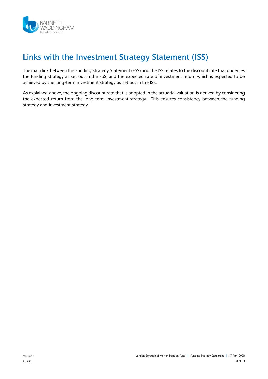

# **Links with the Investment Strategy Statement (ISS)**

The main link between the Funding Strategy Statement (FSS) and the ISS relates to the discount rate that underlies the funding strategy as set out in the FSS, and the expected rate of investment return which is expected to be achieved by the long-term investment strategy as set out in the ISS.

As explained above, the ongoing discount rate that is adopted in the actuarial valuation is derived by considering the expected return from the long-term investment strategy. This ensures consistency between the funding strategy and investment strategy.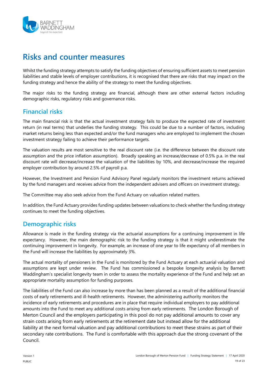

# <span id="page-18-0"></span>**Risks and counter measures**

Whilst the funding strategy attempts to satisfy the funding objectives of ensuring sufficient assets to meet pension liabilities and stable levels of employer contributions, it is recognised that there are risks that may impact on the funding strategy and hence the ability of the strategy to meet the funding objectives.

The major risks to the funding strategy are financial, although there are other external factors including demographic risks, regulatory risks and governance risks.

### <span id="page-18-1"></span>**Financial risks**

The main financial risk is that the actual investment strategy fails to produce the expected rate of investment return (in real terms) that underlies the funding strategy. This could be due to a number of factors, including market returns being less than expected and/or the fund managers who are employed to implement the chosen investment strategy failing to achieve their performance targets.

The valuation results are most sensitive to the real discount rate (i.e. the difference between the discount rate assumption and the price inflation assumption). Broadly speaking an increase/decrease of 0.5% p.a. in the real discount rate will decrease/increase the valuation of the liabilities by 10%, and decrease/increase the required employer contribution by around 2.5% of payroll p.a.

However, the Investment and Pension Fund Advisory Panel regularly monitors the investment returns achieved by the fund managers and receives advice from the independent advisers and officers on investment strategy.

The Committee may also seek advice from the Fund Actuary on valuation related matters.

In addition, the Fund Actuary provides funding updates between valuations to check whether the funding strategy continues to meet the funding objectives.

### <span id="page-18-2"></span>**Demographic risks**

Allowance is made in the funding strategy via the actuarial assumptions for a continuing improvement in life expectancy. However, the main demographic risk to the funding strategy is that it might underestimate the continuing improvement in longevity. For example, an increase of one year to life expectancy of all members in the Fund will increase the liabilities by approximately 3%.

The actual mortality of pensioners in the Fund is monitored by the Fund Actuary at each actuarial valuation and assumptions are kept under review. The Fund has commissioned a bespoke longevity analysis by Barnett Waddingham's specialist longevity team in order to assess the mortality experience of the Fund and help set an appropriate mortality assumption for funding purposes.

The liabilities of the Fund can also increase by more than has been planned as a result of the additional financial costs of early retirements and ill-health retirements. However, the administering authority monitors the incidence of early retirements and procedures are in place that require individual employers to pay additional amounts into the Fund to meet any additional costs arising from early retirements. The London Borough of Merton Council and the employers participating in this pool do not pay additional amounts to cover any strain costs arising from early retirements at the retirement date but instead allow for the additional liability at the next formal valuation and pay additional contributions to meet these strains as part of their secondary rate contributions. The Fund is comfortable with this approach due the strong covenant of the Council.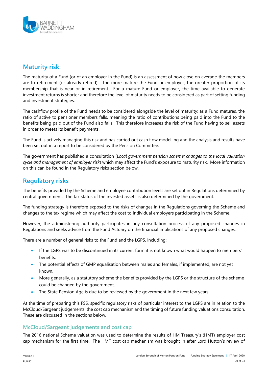

# <span id="page-19-0"></span>**Maturity risk**

The maturity of a Fund (or of an employer in the Fund) is an assessment of how close on average the members are to retirement (or already retired). The more mature the Fund or employer, the greater proportion of its membership that is near or in retirement. For a mature Fund or employer, the time available to generate investment returns is shorter and therefore the level of maturity needs to be considered as part of setting funding and investment strategies.

The cashflow profile of the Fund needs to be considered alongside the level of maturity: as a Fund matures, the ratio of active to pensioner members falls, meaning the ratio of contributions being paid into the Fund to the benefits being paid out of the Fund also falls. This therefore increases the risk of the Fund having to sell assets in order to meets its benefit payments.

The Fund is actively managing this risk and has carried out cash flow modelling and the analysis and results have been set out in a report to be considered by the Pension Committee.

The government has published a consultation (*Local government pension scheme: changes to the local valuation cycle and management of employer risk*) which may affect the Fund's exposure to maturity risk. More information on this can be found in the [Regulatory risks](#page-19-1) section below.

### <span id="page-19-1"></span>**Regulatory risks**

The benefits provided by the Scheme and employee contribution levels are set out in Regulations determined by central government. The tax status of the invested assets is also determined by the government.

The funding strategy is therefore exposed to the risks of changes in the Regulations governing the Scheme and changes to the tax regime which may affect the cost to individual employers participating in the Scheme.

However, the administering authority participates in any consultation process of any proposed changes in Regulations and seeks advice from the Fund Actuary on the financial implications of any proposed changes.

There are a number of general risks to the Fund and the LGPS, including:

- If the LGPS was to be discontinued in its current form it is not known what would happen to members' benefits.
- The potential effects of GMP equalisation between males and females, if implemented, are not yet known.
- More generally, as a statutory scheme the benefits provided by the LGPS or the structure of the scheme could be changed by the government.
- The State Pension Age is due to be reviewed by the government in the next few years.

At the time of preparing this FSS, specific regulatory risks of particular interest to the LGPS are in relation to the McCloud/Sargeant judgements, the cost cap mechanism and the timing of future funding valuations consultation. These are discussed in the sections below.

#### **McCloud/Sargeant judgements and cost cap**

The 2016 national Scheme valuation was used to determine the results of HM Treasury's (HMT) employer cost cap mechanism for the first time. The HMT cost cap mechanism was brought in after Lord Hutton's review of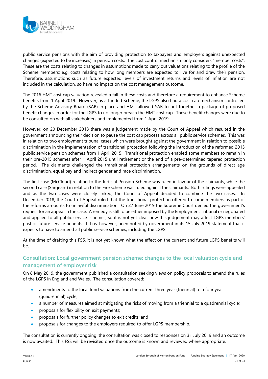

public service pensions with the aim of providing protection to taxpayers and employers against unexpected changes (expected to be increases) in pension costs. The cost control mechanism only considers "member costs". These are the costs relating to changes in assumptions made to carry out valuations relating to the profile of the Scheme members; e.g. costs relating to how long members are expected to live for and draw their pension. Therefore, assumptions such as future expected levels of investment returns and levels of inflation are not included in the calculation, so have no impact on the cost management outcome.

The 2016 HMT cost cap valuation revealed a fall in these costs and therefore a requirement to enhance Scheme benefits from 1 April 2019. However, as a funded Scheme, the LGPS also had a cost cap mechanism controlled by the Scheme Advisory Board (SAB) in place and HMT allowed SAB to put together a package of proposed benefit changes in order for the LGPS to no longer breach the HMT cost cap. These benefit changes were due to be consulted on with all stakeholders and implemented from 1 April 2019.

However, on 20 December 2018 there was a judgement made by the Court of Appeal which resulted in the government announcing their decision to pause the cost cap process across all public service schemes. This was in relation to two employment tribunal cases which were brought against the government in relation to possible discrimination in the implementation of transitional protection following the introduction of the reformed 2015 public service pension schemes from 1 April 2015. Transitional protection enabled some members to remain in their pre-2015 schemes after 1 April 2015 until retirement or the end of a pre-determined tapered protection period. The claimants challenged the transitional protection arrangements on the grounds of direct age discrimination, equal pay and indirect gender and race discrimination.

The first case (McCloud) relating to the Judicial Pension Scheme was ruled in favour of the claimants, while the second case (Sargeant) in relation to the Fire scheme was ruled against the claimants. Both rulings were appealed and as the two cases were closely linked, the Court of Appeal decided to combine the two cases. In December 2018, the Court of Appeal ruled that the transitional protection offered to some members as part of the reforms amounts to unlawful discrimination. On 27 June 2019 the Supreme Court denied the government's request for an appeal in the case. A remedy is still to be either imposed by the Employment Tribunal or negotiated and applied to all public service schemes, so it is not yet clear how this judgement may affect LGPS members' past or future service benefits. It has, however, been noted by government in its 15 July 2019 statement that it expects to have to amend all public service schemes, including the LGPS.

At the time of drafting this FSS, it is not yet known what the effect on the current and future LGPS benefits will be.

#### **Consultation: Local government pension scheme: changes to the local valuation cycle and management of employer risk**

On 8 May 2019, the government published a consultation seeking views on policy proposals to amend the rules of the LGPS in England and Wales. The consultation covered:

- amendments to the local fund valuations from the current three year (triennial) to a four year (quadrennial) cycle;
- a number of measures aimed at mitigating the risks of moving from a triennial to a quadrennial cycle;
- proposals for flexibility on exit payments;
- proposals for further policy changes to exit credits; and
- **•** proposals for changes to the employers required to offer LGPS membership.

The consultation is currently ongoing: the consultation was closed to responses on 31 July 2019 and an outcome is now awaited. This FSS will be revisited once the outcome is known and reviewed where appropriate.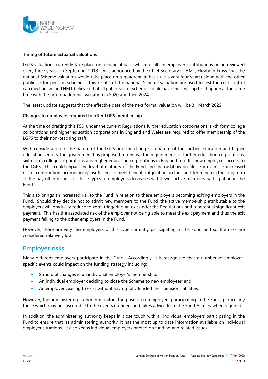

#### **Timing of future actuarial valuations**

LGPS valuations currently take place on a triennial basis which results in employer contributions being reviewed every three years. In September 2018 it was announced by the Chief Secretary to HMT, Elizabeth Truss, that the national Scheme valuation would take place on a quadrennial basis (i.e. every four years) along with the other public sector pension schemes. This results of the national Scheme valuation are used to test the cost control cap mechanism and HMT believed that all public sector scheme should have the cost cap test happen at the same time with the next quadrennial valuation in 2020 and then 2024.

The latest update suggests that the effective date of the next formal valuation will be 31 March 2022.

#### **Changes to employers required to offer LGPS membership**

At the time of drafting this FSS, under the current Regulations further education corporations, sixth form college corporations and higher education corporations in England and Wales are required to offer membership of the LGPS to their non-teaching staff.

With consideration of the nature of the LGPS and the changes in nature of the further education and higher education sectors, the government has proposed to remove the requirement for further education corporations, sixth form college corporations and higher education corporations in England to offer new employees access to the LGPS. This could impact the level of maturity of the Fund and the cashflow profile. For example, increased risk of contribution income being insufficient to meet benefit outgo, if not in the short term then in the long term as the payroll in respect of these types of employers decreases with fewer active members participating in the Fund.

This also brings an increased risk to the Fund in relation to these employers becoming exiting employers in the Fund. Should they decide not to admit new members to the Fund, the active membership attributable to the employers will gradually reduce to zero, triggering an exit under the Regulations and a potential significant exit payment. This has the associated risk of the employer not being able to meet the exit payment and thus the exit payment falling to the other employers in the Fund.

However, there are very few employers of this type currently participating in the Fund and so the risks are considered relatively low.

#### <span id="page-21-0"></span>**Employer risks**

Many different employers participate in the Fund. Accordingly, it is recognised that a number of employerspecific events could impact on the funding strategy including:

- Structural changes in an individual employer's membership;
- An individual employer deciding to close the Scheme to new employees; and
- An employer ceasing to exist without having fully funded their pension liabilities.

However, the administering authority monitors the position of employers participating in the Fund, particularly those which may be susceptible to the events outlined, and takes advice from the Fund Actuary when required.

In addition, the administering authority keeps in close touch with all individual employers participating in the Fund to ensure that, as administering authority, it has the most up to date information available on individual employer situations. It also keeps individual employers briefed on funding and related issues.